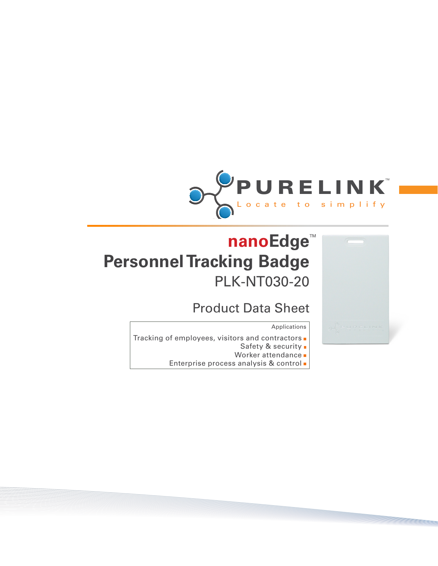



## Product Data Sheet

Applications

- Tracking of employees, visitors and contractors .
	- Safety & security .
	- Worker attendance  $\blacksquare$
	- Enterprise process analysis & control -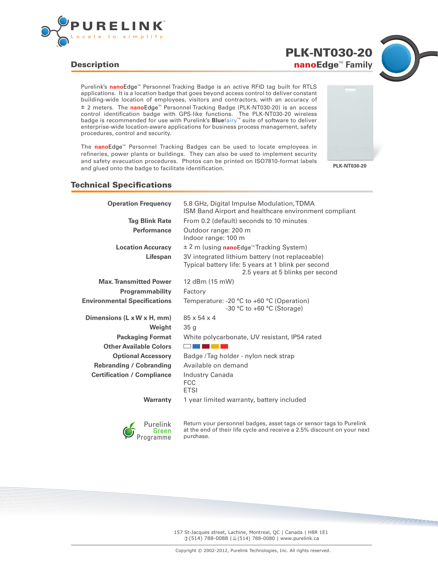

## **Description**

Purelink's **nanoEdge**<sup>™</sup> Personnel Tracking Badge is an active RFID tag built for RTLS applications. It is a location badge that goes beyond access control to deliver constant building-wide location of employees, visitors and contractors, with an accuracy of ± 2 meters. The **nanoEdge**<sup>™</sup> Personnel Tracking Badge (PLK-NT030-20) is an access control identification badge with GPS-like functions. The PLK-NT030-20 wireless badge is recommended for use with Purelink's **Blue**fairy™ suite of software to deliver enterprise-wide location-aware applications for business process management, safety procedures, control and security.

The **nano**Edge<sup>™</sup> Personnel Tracking Badges can be used to locate employees in refineries, power plants or buildings. They can also be used to implement security and safety evacuation procedures. Photos can be printed on ISO7810-format labels and glued onto the badge to facilitate identification. **PLK-NT030-20**



nanoEdge<sup>™</sup> Family PLK-NT030-20

## Technical Specifications

| <b>Operation Frequency</b>          | 5.8 GHz, Digital Impulse Modulation, TDMA<br>ISM Band Airport and healthcare environment compliant                                         |
|-------------------------------------|--------------------------------------------------------------------------------------------------------------------------------------------|
| <b>Tag Blink Rate</b>               | From 0.2 (default) seconds to 10 minutes                                                                                                   |
| <b>Performance</b>                  | Outdoor range: 200 m<br>Indoor range: 100 m                                                                                                |
| <b>Location Accuracy</b>            | ± 2 m (using nanoEdge <sup>™</sup> Tracking System)                                                                                        |
| Lifespan                            | 3V integrated lithium battery (not replaceable)<br>Typical battery life: 5 years at 1 blink per second<br>2.5 years at 5 blinks per second |
| <b>Max. Transmitted Power</b>       | 12 dBm (15 mW)                                                                                                                             |
| <b>Programmability</b>              | Factory                                                                                                                                    |
| <b>Environmental Specifications</b> | Temperature: -20 $°C$ to +60 $°C$ (Operation)<br>$-30$ °C to $+60$ °C (Storage)                                                            |
| Dimensions (L x W x H, mm)          | $85 \times 54 \times 4$                                                                                                                    |
| Weight                              | 35 <sub>g</sub>                                                                                                                            |
| <b>Packaging Format</b>             | White polycarbonate, UV resistant, IP54 rated                                                                                              |
| <b>Other Available Colors</b>       |                                                                                                                                            |
| <b>Optional Accessory</b>           | Badge / Tag holder - nylon neck strap                                                                                                      |
| <b>Rebranding / Cobranding</b>      | Available on demand                                                                                                                        |
| <b>Certification / Compliance</b>   | Industry Canada<br>FCC<br><b>ETSI</b>                                                                                                      |
| <b>Warranty</b>                     | 1 year limited warranty, battery included                                                                                                  |



Return your personnel badges, asset tags or sensor tags to Purelink at the end of their life cycle and receive a 2.5% discount on your next purchase.

157 St-Jacques street, Lachine, Montreal, QC | Canada | H8R 1E1 ①(514) 788-0088 | 8(514) 788-0080 | www.purelink.ca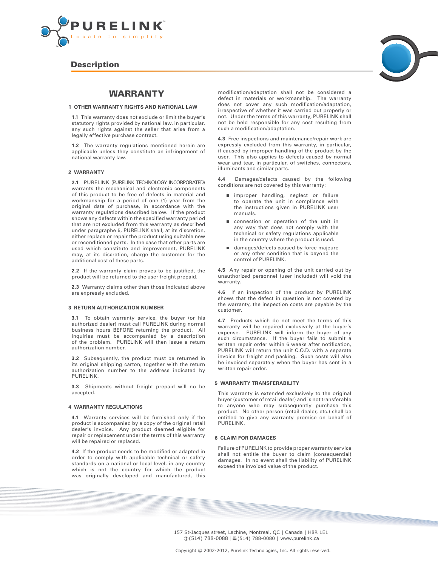

### **Description**



#### **1 OTHER WARRANTY RIGHTS AND NATIONAL LAW**

**1.1** This warranty does not exclude or limit the buyer's statutory rights provided by national law, in particular, any such rights against the seller that arise from a legally effective purchase contract.

**1.2** The warranty regulations mentioned herein are applicable unless they constitute an infringement of national warranty law.

#### **2 WARRANTY**

**2.1** PURELINK (PURELINK TECHNOLOGY INCORPORATED) warrants the mechanical and electronic components of this product to be free of defects in material and workmanship for a period of one (1) year from the original date of purchase, in accordance with the warranty regulations described below. If the product shows any defects within the specified warranty period that are not excluded from this warranty as described under paragraphe 5, PURELINK shall, at its discretion, either replace or repair the product using suitable new or reconditioned parts. In the case that other parts are used which constitute and improvement, PURELINK may, at its discretion, charge the customer for the additional cost of these parts.

**2.2** If the warranty claim proves to be justified, the product will be returned to the user freight prepaid.

**2.3** Warranty claims other than those indicated above are expressly excluded.

#### **3 RETURN AUTHORIZATION NUMBER**

**3.1** To obtain warranty service, the buyer (or his authorized dealer) must call PURELINK during normal business hours BEFORE returning the product. All inquiries must be accompanied by a description of the problem. PURELINK will then issue a return authorization number.

**3.2** Subsequently, the product must be returned in its original shipping carton, together with the return authorization number to the address indicated by PURELINK.

**3.3** Shipments without freight prepaid will no be accepted.

#### **4 WARRANTY REGULATIONS**

**4.1** Warranty services will be furnished only if the product is accompanied by a copy of the original retail dealer's invoice. Any product deemed eligible for repair or replacement under the terms of this warranty will be repaired or replaced.

**4.2** If the product needs to be modified or adapted in order to comply with applicable technical or safety standards on a national or local level, in any country which is not the country for which the product was originally developed and manufactured, this

modification/adaptation shall not be considered a defect in materials or workmanship. The warranty does not cover any such modification/adaptation, irrespective of whether it was carried out properly or not. Under the terms of this warranty, PURELINK shall not be held responsible for any cost resulting from such a modification/adaptation.

**4.3** Free inspections and maintenance/repair work are expressly excluded from this warranty, in particular, if caused by improper handling of the product by the user. This also applies to defects caused by normal wear and tear, in particular, of switches, connectors, illuminants and similar parts.

**4.4** Damages/defects caused by the following conditions are not covered by this warranty:

- m improper handling, neglect or failure to operate the unit in compliance with the instructions given in PURELINK user manuals.
- connection or operation of the unit in any way that does not comply with the technical or safety regulations applicable in the country where the product is used.
- damages/defects caused by force majeure or any other condition that is beyond the control of PURELINK.

**4.5** Any repair or opening of the unit carried out by unauthorized personnel (user included) will void the warranty.

**4.6** If an inspection of the product by PURELINK shows that the defect in question is not covered by the warranty, the inspection costs are payable by the customer.

**4.7** Products which do not meet the terms of this warranty will be repaired exclusively at the buyer's expense. PURELINK will inform the buyer of any such circumstance. If the buyer fails to submit a written repair order within 6 weeks after notification, PURELINK will return the unit C.O.D. with a separate invoice for freight and packing. Such costs will also be invoiced separately when the buyer has sent in a written repair order.

#### **5 WARRANTY TRANSFERABILITY**

This warranty is extended exclusively to the original buyer (customer of retail dealer) and is not transferable to anyone who may subsequently purchase this product. No other person (retail dealer, etc.) shall be entitled to give any warranty promise on behalf of PURELINK.

#### **6 CLAIM FOR DAMAGES**

Failure of PURELINK to provide proper warranty service shall not entitle the buyer to claim (consequential) damages. In no event shall the liability of PURELINK exceed the invoiced value of the product.

157 St-Jacques street, Lachine, Montreal, QC | Canada | H8R 1E1 ①(514) 788-0088 | 8(514) 788-0080 | www.purelink.ca